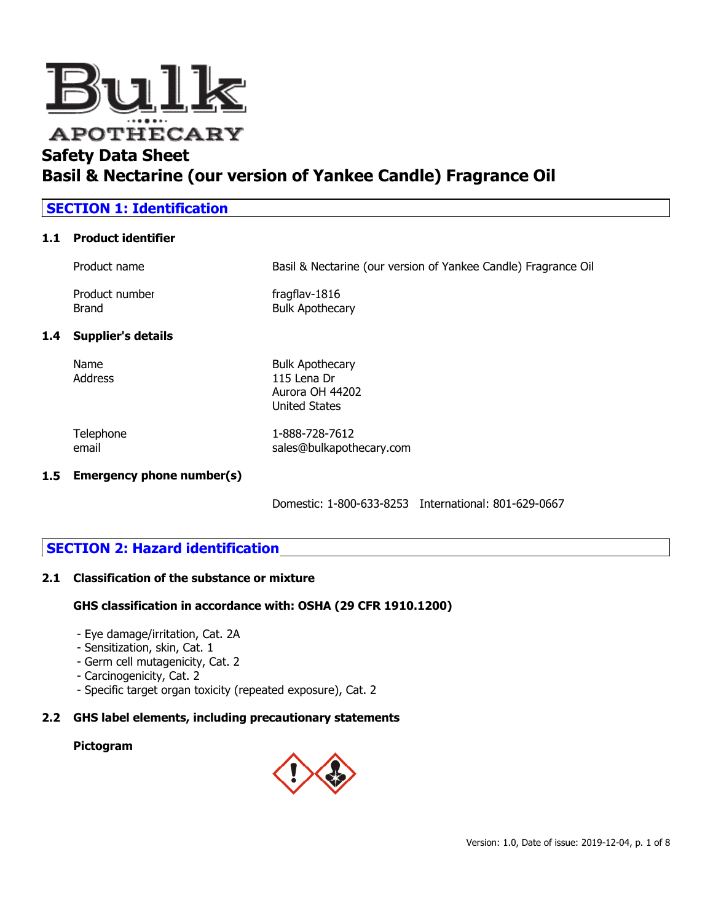

| <b>SECTION 1: Identification</b> |                                |                                                                                  |  |
|----------------------------------|--------------------------------|----------------------------------------------------------------------------------|--|
| 1.1                              | <b>Product identifier</b>      |                                                                                  |  |
|                                  | Product name                   | Basil & Nectarine (our version of Yankee Candle) Fragrance Oil                   |  |
|                                  | Product number<br><b>Brand</b> | fragflav-1816<br><b>Bulk Apothecary</b>                                          |  |
| 1.4                              | <b>Supplier's details</b>      |                                                                                  |  |
|                                  | Name<br>Address                | <b>Bulk Apothecary</b><br>115 Lena Dr<br>Aurora OH 44202<br><b>United States</b> |  |
|                                  | Telephone<br>email             | 1-888-728-7612<br>sales@bulkapothecary.com                                       |  |
| 1.5                              | Emergency phone number(s)      |                                                                                  |  |

Domestic: 1-800-633-8253 International: 801-629-0667

# **SECTION 2: Hazard identification**

## **2.1 Classification of the substance or mixture**

## **GHS classification in accordance with: OSHA (29 CFR 1910.1200)**

- Eye damage/irritation, Cat. 2A
- Sensitization, skin, Cat. 1
- Germ cell mutagenicity, Cat. 2
- Carcinogenicity, Cat. 2
- Specific target organ toxicity (repeated exposure), Cat. 2

## **2.2 GHS label elements, including precautionary statements**

### **Pictogram**

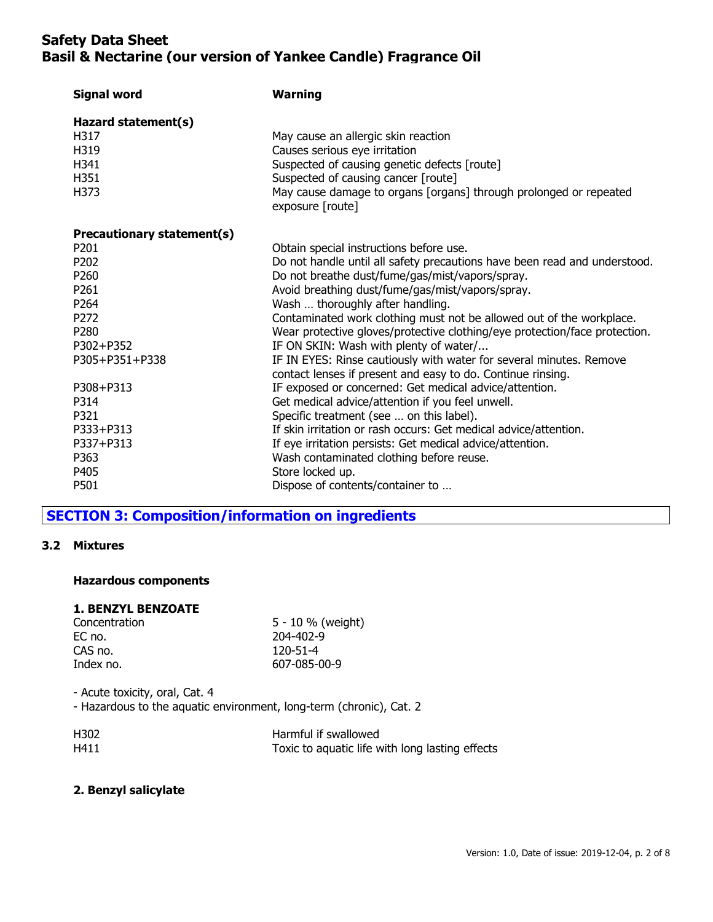| <b>Signal word</b>         | <b>Warning</b>                                                                                                                     |
|----------------------------|------------------------------------------------------------------------------------------------------------------------------------|
| Hazard statement(s)        |                                                                                                                                    |
| H317                       | May cause an allergic skin reaction                                                                                                |
| H319                       | Causes serious eye irritation                                                                                                      |
| H341                       | Suspected of causing genetic defects [route]                                                                                       |
| H351                       | Suspected of causing cancer [route]                                                                                                |
| H373                       | May cause damage to organs [organs] through prolonged or repeated<br>exposure [route]                                              |
| Precautionary statement(s) |                                                                                                                                    |
| P201                       | Obtain special instructions before use.                                                                                            |
| P <sub>202</sub>           | Do not handle until all safety precautions have been read and understood.                                                          |
| P260                       | Do not breathe dust/fume/gas/mist/vapors/spray.                                                                                    |
| P <sub>261</sub>           | Avoid breathing dust/fume/gas/mist/vapors/spray.                                                                                   |
| P264                       | Wash  thoroughly after handling.                                                                                                   |
| P272                       | Contaminated work clothing must not be allowed out of the workplace.                                                               |
| P280                       | Wear protective gloves/protective clothing/eye protection/face protection.                                                         |
| P302+P352                  | IF ON SKIN: Wash with plenty of water/                                                                                             |
| P305+P351+P338             | IF IN EYES: Rinse cautiously with water for several minutes. Remove<br>contact lenses if present and easy to do. Continue rinsing. |
| P308+P313                  | IF exposed or concerned: Get medical advice/attention.                                                                             |
| P314                       | Get medical advice/attention if you feel unwell.                                                                                   |
| P321                       | Specific treatment (see  on this label).                                                                                           |
| P333+P313                  | If skin irritation or rash occurs: Get medical advice/attention.                                                                   |
| P337+P313                  | If eye irritation persists: Get medical advice/attention.                                                                          |
| P363                       | Wash contaminated clothing before reuse.                                                                                           |
| P405                       | Store locked up.                                                                                                                   |
| P501                       | Dispose of contents/container to                                                                                                   |

# **SECTION 3: Composition/information on ingredients**

## **3.2 Mixtures**

## **Hazardous components**

# **1. BENZYL BENZOATE**

| Concentration | 5 - 10 % (weight) |
|---------------|-------------------|
| EC no.        | 204-402-9         |
| CAS no.       | 120-51-4          |
| Index no.     | 607-085-00-9      |

- Acute toxicity, oral, Cat. 4

- Hazardous to the aquatic environment, long-term (chronic), Cat. 2

| H <sub>302</sub> | Harmful if swallowed                            |
|------------------|-------------------------------------------------|
| H411             | Toxic to aquatic life with long lasting effects |

## **2. Benzyl salicylate**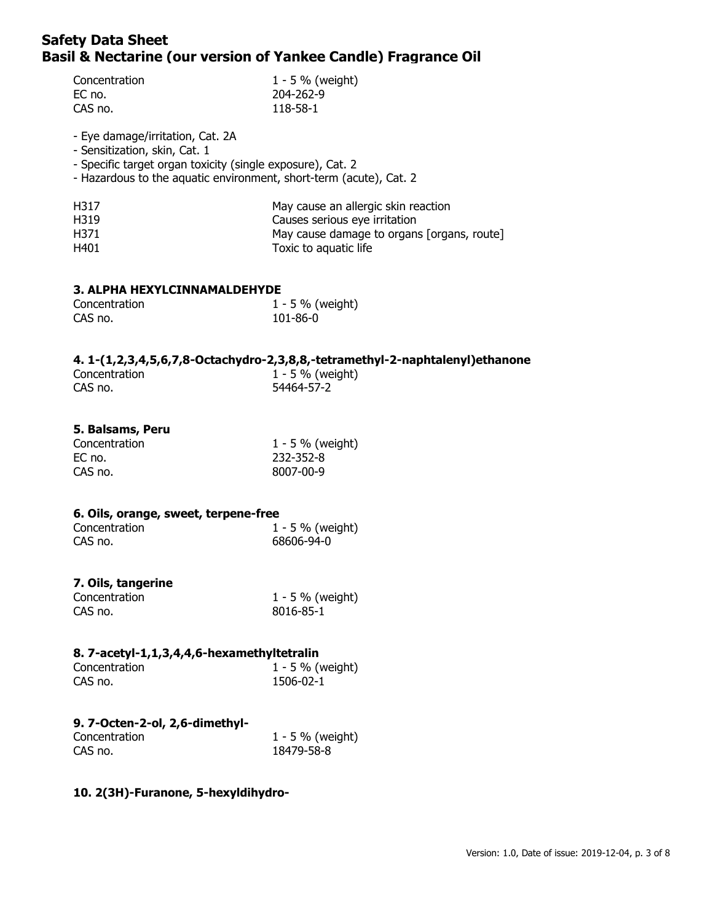| Concentration | 1 - 5 % (weight) |
|---------------|------------------|
| EC no.        | 204-262-9        |
| CAS no.       | 118-58-1         |

- Eye damage/irritation, Cat. 2A

- Sensitization, skin, Cat. 1

- Specific target organ toxicity (single exposure), Cat. 2

- Hazardous to the aquatic environment, short-term (acute), Cat. 2

| H317 | May cause an allergic skin reaction        |
|------|--------------------------------------------|
| H319 | Causes serious eye irritation              |
| H371 | May cause damage to organs [organs, route] |
| H401 | Toxic to aquatic life                      |

### **3. ALPHA HEXYLCINNAMALDEHYDE**

| Concentration | 1 - 5 % (weight) |
|---------------|------------------|
| CAS no.       | 101-86-0         |

### **4. 1-(1,2,3,4,5,6,7,8-Octachydro-2,3,8,8,-tetramethyl-2-naphtalenyl)ethanone**

| Concentration | $1 - 5 \%$ (weight) |  |
|---------------|---------------------|--|
| CAS no.       | 54464-57-2          |  |

### **5. Balsams, Peru**

| Concentration | 1 - 5 % (weight) |
|---------------|------------------|
| EC no.        | 232-352-8        |
| CAS no.       | 8007-00-9        |

### **6. Oils, orange, sweet, terpene-free**

| Concentration | 1 - 5 % (weight) |
|---------------|------------------|
| CAS no.       | 68606-94-0       |

## **7. Oils, tangerine**

| Concentration | 1 - 5 % (weight) |
|---------------|------------------|
| CAS no.       | 8016-85-1        |

### **8. 7-acetyl-1,1,3,4,4,6-hexamethyltetralin**

| Concentration | $1 - 5 \%$ (weight) |
|---------------|---------------------|
| CAS no.       | 1506-02-1           |

# **9. 7-Octen-2-ol, 2,6-dimethyl-**

| Concentration | 1 - 5 % (weight) |
|---------------|------------------|
| CAS no.       | 18479-58-8       |

## **10. 2(3H)-Furanone, 5-hexyldihydro-**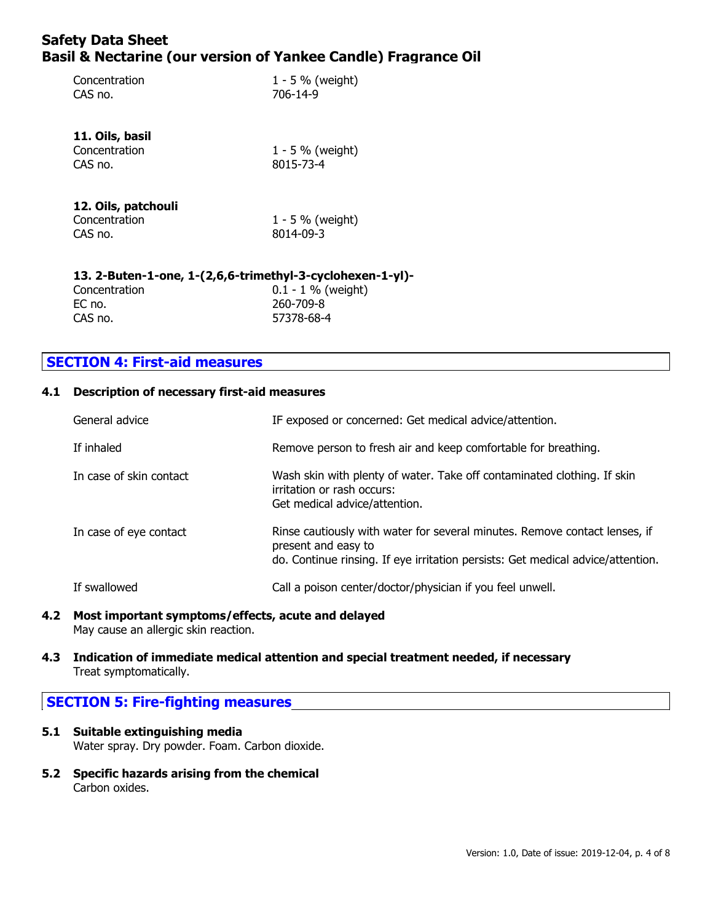| Concentration<br>CAS no.                                  | $1 - 5 \%$ (weight)<br>706-14-9  |  |
|-----------------------------------------------------------|----------------------------------|--|
| 11. Oils, basil<br>Concentration<br>CAS no.               | $1 - 5 \%$ (weight)<br>8015-73-4 |  |
| 12. Oils, patchouli<br>Concentration<br>CAS no.           | $1 - 5 \%$ (weight)<br>8014-09-3 |  |
| 13. 2-Buten-1-one, 1-(2,6,6-trimethyl-3-cyclohexen-1-yl)- |                                  |  |

| Concentration | $0.1 - 1 \%$ (weight) |
|---------------|-----------------------|
| EC no.        | 260-709-8             |
| CAS no.       | 57378-68-4            |

# **SECTION 4: First-aid measures**

## **4.1 Description of necessary first-aid measures**

| General advice          | IF exposed or concerned: Get medical advice/attention.                                                                                                                               |
|-------------------------|--------------------------------------------------------------------------------------------------------------------------------------------------------------------------------------|
| If inhaled              | Remove person to fresh air and keep comfortable for breathing.                                                                                                                       |
| In case of skin contact | Wash skin with plenty of water. Take off contaminated clothing. If skin<br>irritation or rash occurs:<br>Get medical advice/attention.                                               |
| In case of eye contact  | Rinse cautiously with water for several minutes. Remove contact lenses, if<br>present and easy to<br>do. Continue rinsing. If eye irritation persists: Get medical advice/attention. |
| If swallowed            | Call a poison center/doctor/physician if you feel unwell.                                                                                                                            |

**4.2 Most important symptoms/effects, acute and delayed** May cause an allergic skin reaction.

### **4.3 Indication of immediate medical attention and special treatment needed, if necessary** Treat symptomatically.

# **SECTION 5: Fire-fighting measures**

- **5.1 Suitable extinguishing media** Water spray. Dry powder. Foam. Carbon dioxide.
- **5.2 Specific hazards arising from the chemical** Carbon oxides.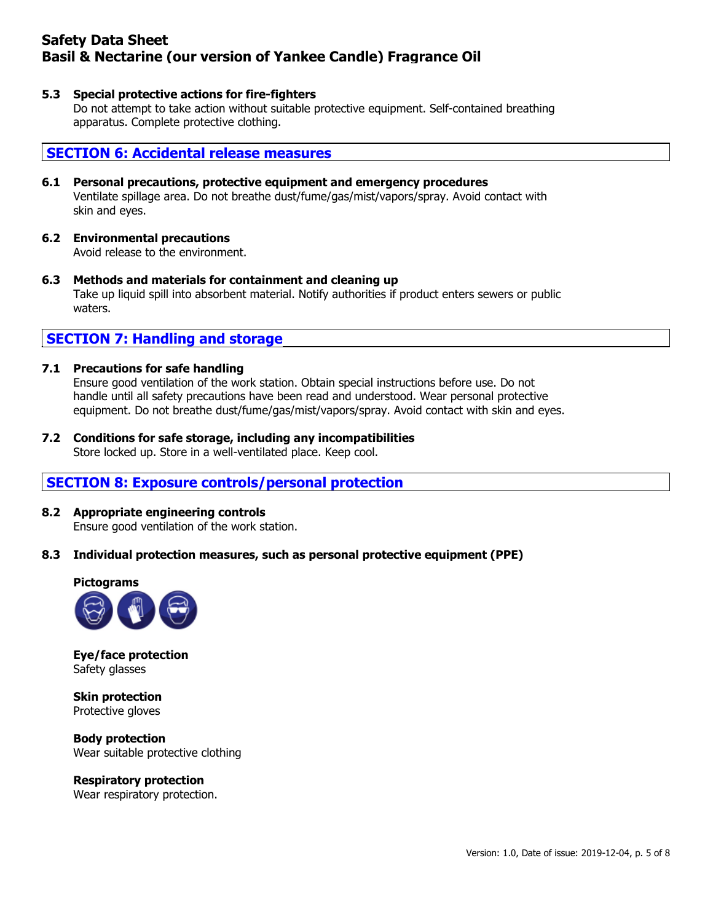### **5.3 Special protective actions for fire-fighters**

Do not attempt to take action without suitable protective equipment. Self-contained breathing apparatus. Complete protective clothing.

## **SECTION 6: Accidental release measures**

### **6.1 Personal precautions, protective equipment and emergency procedures** Ventilate spillage area. Do not breathe dust/fume/gas/mist/vapors/spray. Avoid contact with skin and eyes.

# **6.2 Environmental precautions**

Avoid release to the environment.

**6.3 Methods and materials for containment and cleaning up** Take up liquid spill into absorbent material. Notify authorities if product enters sewers or public waters.

# **SECTION 7: Handling and storage**

### **7.1 Precautions for safe handling**

Ensure good ventilation of the work station. Obtain special instructions before use. Do not handle until all safety precautions have been read and understood. Wear personal protective equipment. Do not breathe dust/fume/gas/mist/vapors/spray. Avoid contact with skin and eyes.

### **7.2 Conditions for safe storage, including any incompatibilities**

Store locked up. Store in a well-ventilated place. Keep cool.

# **SECTION 8: Exposure controls/personal protection**

# **8.2 Appropriate engineering controls**

Ensure good ventilation of the work station.

## **8.3 Individual protection measures, such as personal protective equipment (PPE)**



**Eye/face protection** Safety glasses

**Skin protection** Protective gloves

**Body protection** Wear suitable protective clothing

### **Respiratory protection**

Wear respiratory protection.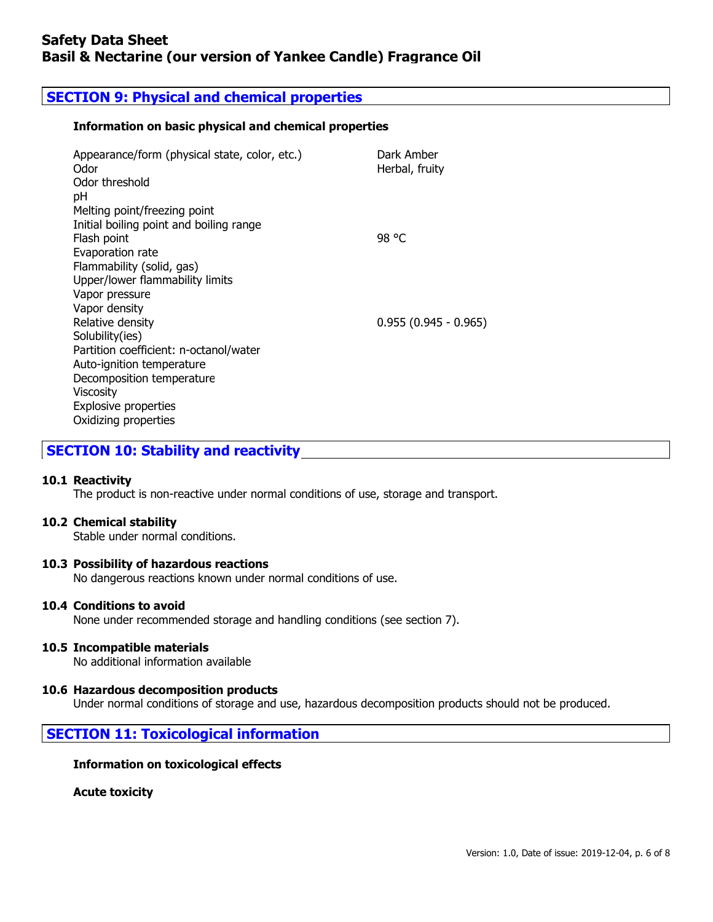# **SECTION 9: Physical and chemical properties**

## **Information on basic physical and chemical properties**

| Appearance/form (physical state, color, etc.)<br>Odor<br>Odor threshold | Dark Amber<br>Herbal, fruity |
|-------------------------------------------------------------------------|------------------------------|
| рH                                                                      |                              |
| Melting point/freezing point                                            |                              |
| Initial boiling point and boiling range                                 |                              |
| Flash point                                                             | 98 °C                        |
| Evaporation rate                                                        |                              |
| Flammability (solid, gas)                                               |                              |
| Upper/lower flammability limits                                         |                              |
| Vapor pressure                                                          |                              |
| Vapor density                                                           |                              |
| Relative density                                                        | $0.955(0.945 - 0.965)$       |
| Solubility(ies)                                                         |                              |
| Partition coefficient: n-octanol/water                                  |                              |
| Auto-ignition temperature                                               |                              |
| Decomposition temperature                                               |                              |
| <b>Viscosity</b>                                                        |                              |
| <b>Explosive properties</b>                                             |                              |
| Oxidizing properties                                                    |                              |

**SECTION 10: Stability and reactivity**

## **10.1 Reactivity**

The product is non-reactive under normal conditions of use, storage and transport.

### **10.2 Chemical stability**

Stable under normal conditions.

## **10.3 Possibility of hazardous reactions**

No dangerous reactions known under normal conditions of use.

### **10.4 Conditions to avoid**

None under recommended storage and handling conditions (see section 7).

### **10.5 Incompatible materials**

No additional information available

## **10.6 Hazardous decomposition products**

Under normal conditions of storage and use, hazardous decomposition products should not be produced.

# **SECTION 11: Toxicological information**

### **Information on toxicological effects**

**Acute toxicity**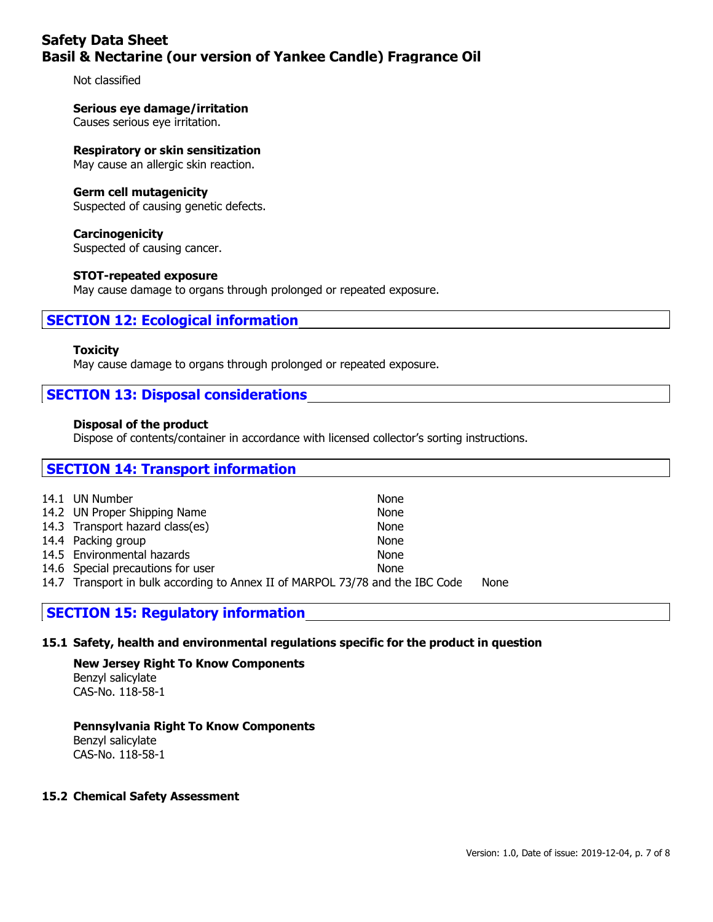Not classified

### **Serious eye damage/irritation**

Causes serious eye irritation.

#### **Respiratory or skin sensitization**

May cause an allergic skin reaction.

### **Germ cell mutagenicity**

Suspected of causing genetic defects.

**Carcinogenicity** Suspected of causing cancer.

### **STOT-repeated exposure**

May cause damage to organs through prolonged or repeated exposure.

## **SECTION 12: Ecological information**

#### **Toxicity**

May cause damage to organs through prolonged or repeated exposure.

## **SECTION 13: Disposal considerations**

### **Disposal of the product**

Dispose of contents/container in accordance with licensed collector's sorting instructions.

# **SECTION 14: Transport information** 14.1 UN Number None 14.2 UN Proper Shipping Name None 14.3 Transport hazard class(es) None 14.4 Packing group None 14.5 Environmental hazards None 14.6 Special precautions for user None 14.7 Transport in bulk according to Annex II of MARPOL 73/78 and the IBC Code None

# **SECTION 15: Regulatory information**

### **15.1 Safety, health and environmental regulations specific for the product in question**

**New Jersey Right To Know Components** Benzyl salicylate CAS-No. 118-58-1

# **Pennsylvania Right To Know Components**

Benzyl salicylate CAS-No. 118-58-1

### **15.2 Chemical Safety Assessment**